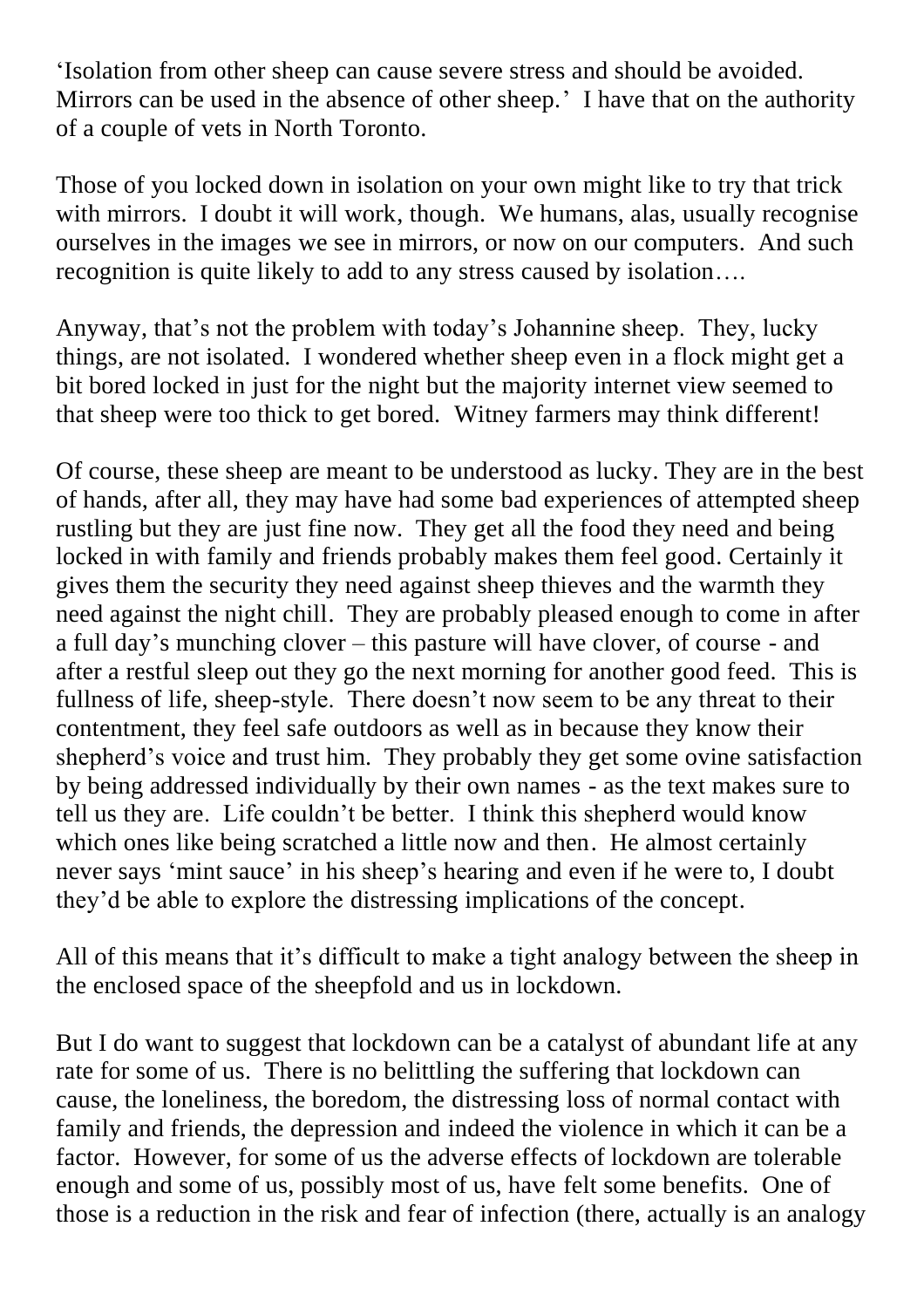'Isolation from other sheep can cause severe stress and should be avoided. Mirrors can be used in the absence of other sheep.' I have that on the authority of a couple of vets in North Toronto.

Those of you locked down in isolation on your own might like to try that trick with mirrors. I doubt it will work, though. We humans, alas, usually recognise ourselves in the images we see in mirrors, or now on our computers. And such recognition is quite likely to add to any stress caused by isolation….

Anyway, that's not the problem with today's Johannine sheep. They, lucky things, are not isolated. I wondered whether sheep even in a flock might get a bit bored locked in just for the night but the majority internet view seemed to that sheep were too thick to get bored. Witney farmers may think different!

Of course, these sheep are meant to be understood as lucky. They are in the best of hands, after all, they may have had some bad experiences of attempted sheep rustling but they are just fine now. They get all the food they need and being locked in with family and friends probably makes them feel good. Certainly it gives them the security they need against sheep thieves and the warmth they need against the night chill. They are probably pleased enough to come in after a full day's munching clover – this pasture will have clover, of course - and after a restful sleep out they go the next morning for another good feed. This is fullness of life, sheep-style. There doesn't now seem to be any threat to their contentment, they feel safe outdoors as well as in because they know their shepherd's voice and trust him. They probably they get some ovine satisfaction by being addressed individually by their own names - as the text makes sure to tell us they are. Life couldn't be better. I think this shepherd would know which ones like being scratched a little now and then. He almost certainly never says 'mint sauce' in his sheep's hearing and even if he were to, I doubt they'd be able to explore the distressing implications of the concept.

All of this means that it's difficult to make a tight analogy between the sheep in the enclosed space of the sheepfold and us in lockdown.

But I do want to suggest that lockdown can be a catalyst of abundant life at any rate for some of us. There is no belittling the suffering that lockdown can cause, the loneliness, the boredom, the distressing loss of normal contact with family and friends, the depression and indeed the violence in which it can be a factor. However, for some of us the adverse effects of lockdown are tolerable enough and some of us, possibly most of us, have felt some benefits. One of those is a reduction in the risk and fear of infection (there, actually is an analogy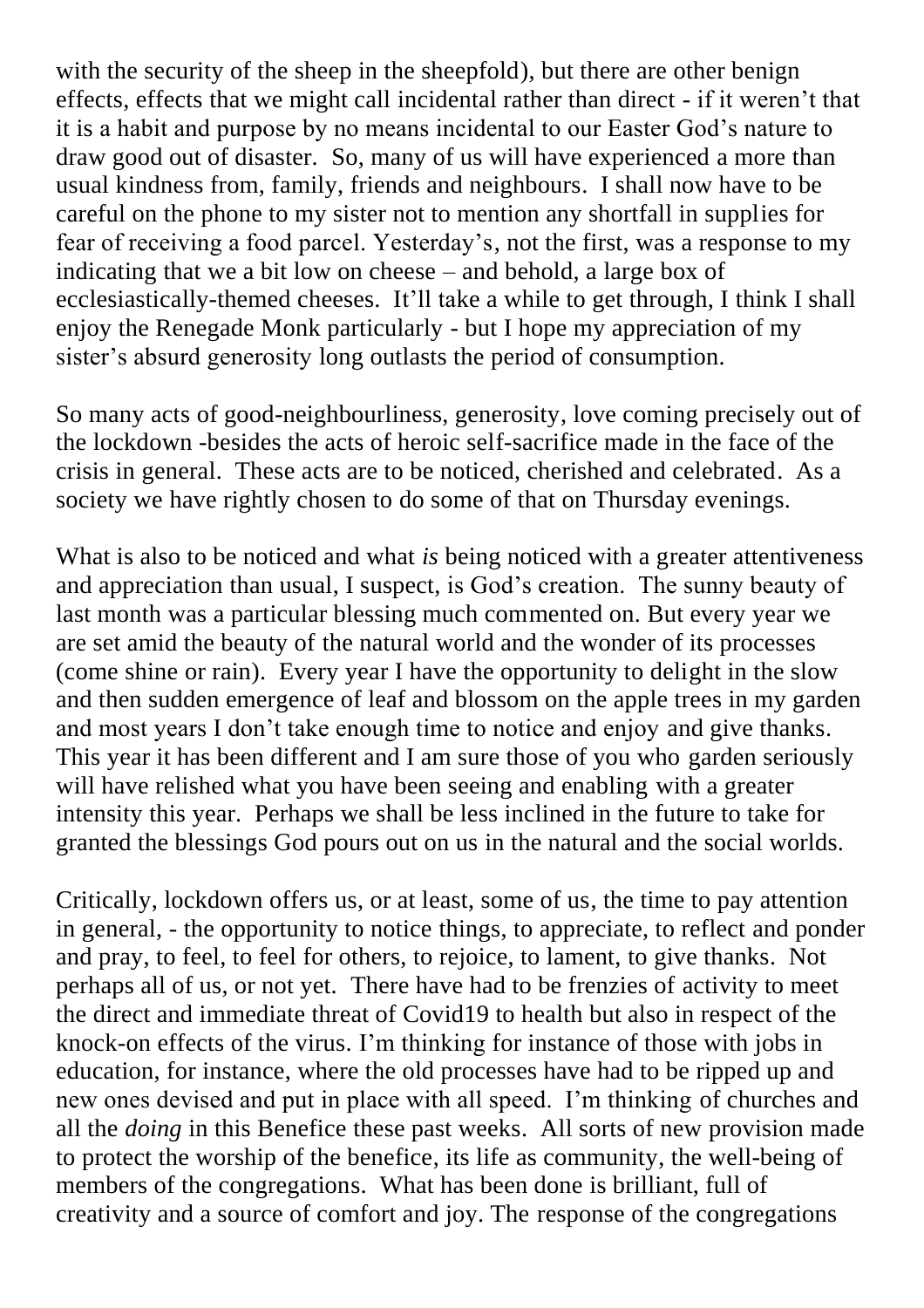with the security of the sheep in the sheepfold), but there are other benign effects, effects that we might call incidental rather than direct - if it weren't that it is a habit and purpose by no means incidental to our Easter God's nature to draw good out of disaster. So, many of us will have experienced a more than usual kindness from, family, friends and neighbours. I shall now have to be careful on the phone to my sister not to mention any shortfall in supplies for fear of receiving a food parcel. Yesterday's, not the first, was a response to my indicating that we a bit low on cheese – and behold, a large box of ecclesiastically-themed cheeses. It'll take a while to get through, I think I shall enjoy the Renegade Monk particularly - but I hope my appreciation of my sister's absurd generosity long outlasts the period of consumption.

So many acts of good-neighbourliness, generosity, love coming precisely out of the lockdown -besides the acts of heroic self-sacrifice made in the face of the crisis in general. These acts are to be noticed, cherished and celebrated. As a society we have rightly chosen to do some of that on Thursday evenings.

What is also to be noticed and what *is* being noticed with a greater attentiveness and appreciation than usual, I suspect, is God's creation. The sunny beauty of last month was a particular blessing much commented on. But every year we are set amid the beauty of the natural world and the wonder of its processes (come shine or rain). Every year I have the opportunity to delight in the slow and then sudden emergence of leaf and blossom on the apple trees in my garden and most years I don't take enough time to notice and enjoy and give thanks. This year it has been different and I am sure those of you who garden seriously will have relished what you have been seeing and enabling with a greater intensity this year. Perhaps we shall be less inclined in the future to take for granted the blessings God pours out on us in the natural and the social worlds.

Critically, lockdown offers us, or at least, some of us, the time to pay attention in general, - the opportunity to notice things, to appreciate, to reflect and ponder and pray, to feel, to feel for others, to rejoice, to lament, to give thanks. Not perhaps all of us, or not yet. There have had to be frenzies of activity to meet the direct and immediate threat of Covid19 to health but also in respect of the knock-on effects of the virus. I'm thinking for instance of those with jobs in education, for instance, where the old processes have had to be ripped up and new ones devised and put in place with all speed. I'm thinking of churches and all the *doing* in this Benefice these past weeks. All sorts of new provision made to protect the worship of the benefice, its life as community, the well-being of members of the congregations. What has been done is brilliant, full of creativity and a source of comfort and joy. The response of the congregations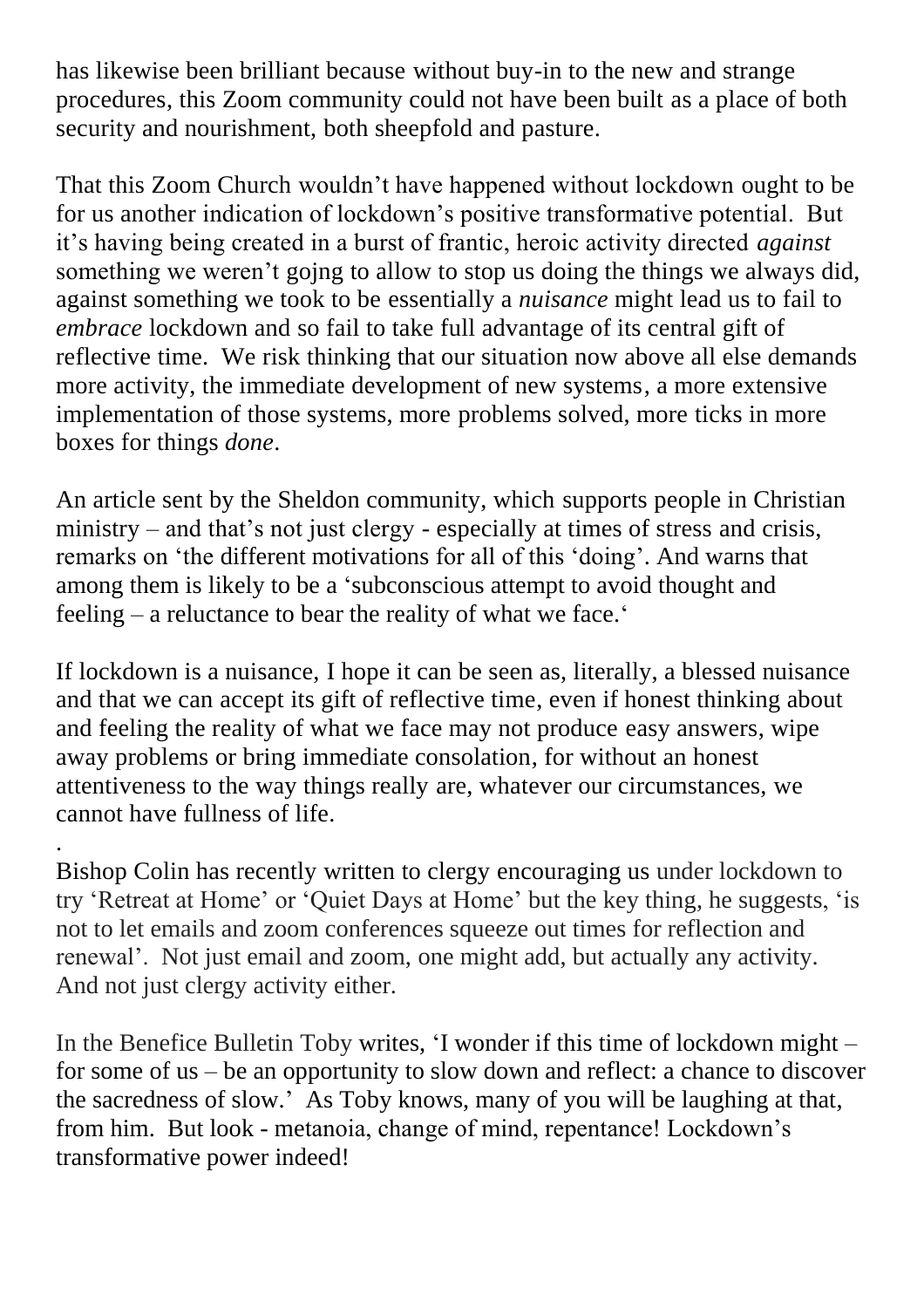has likewise been brilliant because without buy-in to the new and strange procedures, this Zoom community could not have been built as a place of both security and nourishment, both sheepfold and pasture.

That this Zoom Church wouldn't have happened without lockdown ought to be for us another indication of lockdown's positive transformative potential. But it's having being created in a burst of frantic, heroic activity directed *against* something we weren't gojng to allow to stop us doing the things we always did, against something we took to be essentially a *nuisance* might lead us to fail to *embrace* lockdown and so fail to take full advantage of its central gift of reflective time. We risk thinking that our situation now above all else demands more activity, the immediate development of new systems, a more extensive implementation of those systems, more problems solved, more ticks in more boxes for things *done*.

An article sent by the Sheldon community, which supports people in Christian ministry – and that's not just clergy - especially at times of stress and crisis, remarks on 'the different motivations for all of this 'doing'. And warns that among them is likely to be a 'subconscious attempt to avoid thought and feeling – a reluctance to bear the reality of what we face.'

If lockdown is a nuisance, I hope it can be seen as, literally, a blessed nuisance and that we can accept its gift of reflective time, even if honest thinking about and feeling the reality of what we face may not produce easy answers, wipe away problems or bring immediate consolation, for without an honest attentiveness to the way things really are, whatever our circumstances, we cannot have fullness of life.

. Bishop Colin has recently written to clergy encouraging us under lockdown to try 'Retreat at Home' or 'Quiet Days at Home' but the key thing, he suggests, 'is not to let emails and zoom conferences squeeze out times for reflection and renewal'. Not just email and zoom, one might add, but actually any activity. And not just clergy activity either.

In the Benefice Bulletin Toby writes, 'I wonder if this time of lockdown might – for some of us – be an opportunity to slow down and reflect: a chance to discover the sacredness of slow.' As Toby knows, many of you will be laughing at that, from him. But look - metanoia, change of mind, repentance! Lockdown's transformative power indeed!